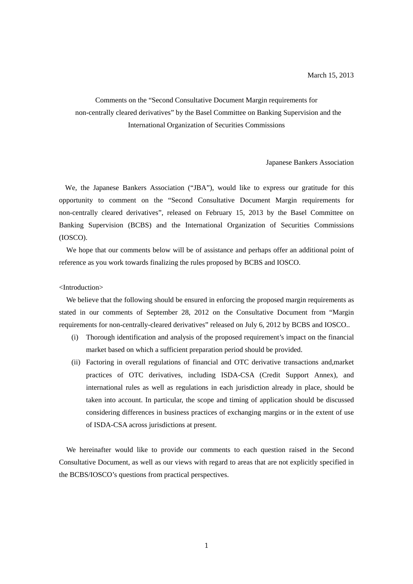Comments on the "Second Consultative Document Margin requirements for non-centrally cleared derivatives" by the Basel Committee on Banking Supervision and the International Organization of Securities Commissions

#### Japanese Bankers Association

We, the Japanese Bankers Association ("JBA"), would like to express our gratitude for this opportunity to comment on the "Second Consultative Document Margin requirements for non-centrally cleared derivatives", released on February 15, 2013 by the Basel Committee on Banking Supervision (BCBS) and the International Organization of Securities Commissions (IOSCO).

We hope that our comments below will be of assistance and perhaps offer an additional point of reference as you work towards finalizing the rules proposed by BCBS and IOSCO.

<Introduction>

We believe that the following should be ensured in enforcing the proposed margin requirements as stated in our comments of September 28, 2012 on the Consultative Document from "Margin requirements for non-centrally-cleared derivatives" released on July 6, 2012 by BCBS and IOSCO..

- (i) Thorough identification and analysis of the proposed requirement's impact on the financial market based on which a sufficient preparation period should be provided.
- (ii) Factoring in overall regulations of financial and OTC derivative transactions and,market practices of OTC derivatives, including ISDA-CSA (Credit Support Annex), and international rules as well as regulations in each jurisdiction already in place, should be taken into account. In particular, the scope and timing of application should be discussed considering differences in business practices of exchanging margins or in the extent of use of ISDA-CSA across jurisdictions at present.

We hereinafter would like to provide our comments to each question raised in the Second Consultative Document, as well as our views with regard to areas that are not explicitly specified in the BCBS/IOSCO's questions from practical perspectives.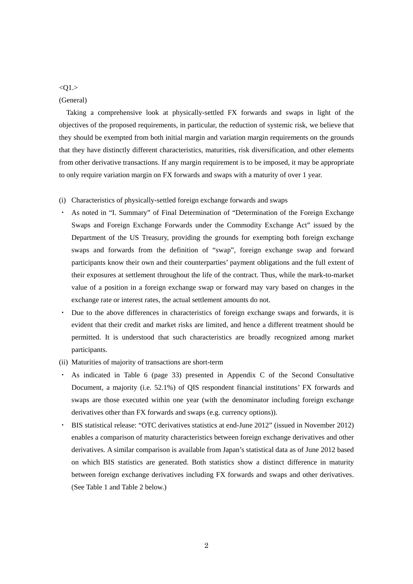$<$ Q1. $>$ 

# (General)

Taking a comprehensive look at physically-settled FX forwards and swaps in light of the objectives of the proposed requirements, in particular, the reduction of systemic risk, we believe that they should be exempted from both initial margin and variation margin requirements on the grounds that they have distinctly different characteristics, maturities, risk diversification, and other elements from other derivative transactions. If any margin requirement is to be imposed, it may be appropriate to only require variation margin on FX forwards and swaps with a maturity of over 1 year.

- (i) Characteristics of physically-settled foreign exchange forwards and swaps
- ・ As noted in "I. Summary" of Final Determination of "Determination of the Foreign Exchange Swaps and Foreign Exchange Forwards under the Commodity Exchange Act" issued by the Department of the US Treasury, providing the grounds for exempting both foreign exchange swaps and forwards from the definition of "swap", foreign exchange swap and forward participants know their own and their counterparties' payment obligations and the full extent of their exposures at settlement throughout the life of the contract. Thus, while the mark-to-market value of a position in a foreign exchange swap or forward may vary based on changes in the exchange rate or interest rates, the actual settlement amounts do not.
- Due to the above differences in characteristics of foreign exchange swaps and forwards, it is evident that their credit and market risks are limited, and hence a different treatment should be permitted. It is understood that such characteristics are broadly recognized among market participants.
- (ii) Maturities of majority of transactions are short-term
- As indicated in Table 6 (page 33) presented in Appendix C of the Second Consultative Document, a majority (i.e. 52.1%) of QIS respondent financial institutions' FX forwards and swaps are those executed within one year (with the denominator including foreign exchange derivatives other than FX forwards and swaps (e.g. currency options)).
- BIS statistical release: "OTC derivatives statistics at end-June 2012" (issued in November 2012) enables a comparison of maturity characteristics between foreign exchange derivatives and other derivatives. A similar comparison is available from Japan's statistical data as of June 2012 based on which BIS statistics are generated. Both statistics show a distinct difference in maturity between foreign exchange derivatives including FX forwards and swaps and other derivatives. (See Table 1 and Table 2 below.)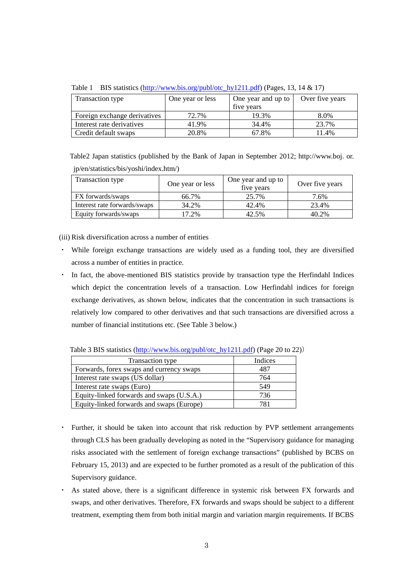| $\frac{1}{2}$ and $\frac{1}{2}$ and $\frac{1}{2}$ and $\frac{1}{2}$ and $\frac{1}{2}$ and $\frac{1}{2}$ and $\frac{1}{2}$ and $\frac{1}{2}$ and $\frac{1}{2}$ and $\frac{1}{2}$ and $\frac{1}{2}$ and $\frac{1}{2}$ and $\frac{1}{2}$ and $\frac{1}{2}$ and $\frac{1}{2}$ and $\frac{1}{2}$ a |                  |                    |                 |  |
|-----------------------------------------------------------------------------------------------------------------------------------------------------------------------------------------------------------------------------------------------------------------------------------------------|------------------|--------------------|-----------------|--|
| Transaction type                                                                                                                                                                                                                                                                              | One year or less | One year and up to | Over five years |  |
|                                                                                                                                                                                                                                                                                               |                  | five years         |                 |  |
| Foreign exchange derivatives                                                                                                                                                                                                                                                                  | 72.7%            | 19.3%              | 8.0%            |  |
| Interest rate derivatives                                                                                                                                                                                                                                                                     | 41.9%            | 34.4%              | 23.7%           |  |
| Credit default swaps                                                                                                                                                                                                                                                                          | 20.8%            | 67.8%              | $1.4\%$         |  |

Table 1 BIS statistics (http://www.bis.org/publ/otc\_hy1211.pdf) (Pages, 13, 14 & 17)

Table2 Japan statistics (published by the Bank of Japan in September 2012; http://www.boj. or. jp/en/statistics/bis/yoshi/index.htm/)

| Transaction type             | One year or less | One year and up to<br>five years | Over five years |
|------------------------------|------------------|----------------------------------|-----------------|
| FX forwards/swaps            | 66.7%            | 25.7%                            | 7.6%            |
| Interest rate forwards/swaps | 34.2%            | 42.4%                            | 23.4%           |
| Equity forwards/swaps        | 17.2%            | 42.5%                            | 40.2%           |

(iii) Risk diversification across a number of entities

- ・ While foreign exchange transactions are widely used as a funding tool, they are diversified across a number of entities in practice.
- ・ In fact, the above-mentioned BIS statistics provide by transaction type the Herfindahl Indices which depict the concentration levels of a transaction. Low Herfindahl indices for foreign exchange derivatives, as shown below, indicates that the concentration in such transactions is relatively low compared to other derivatives and that such transactions are diversified across a number of financial institutions etc. (See Table 3 below.)

Table 3 BIS statistics (http://www.bis.org/publ/otc\_hy1211.pdf) (Page 20 to 22))

| Transaction type                          | Indices |
|-------------------------------------------|---------|
| Forwards, forex swaps and currency swaps  | 487     |
| Interest rate swaps (US dollar)           | 764     |
| Interest rate swaps (Euro)                | 549     |
| Equity-linked forwards and swaps (U.S.A.) | 736     |
| Equity-linked forwards and swaps (Europe) | 781     |

- ・ Further, it should be taken into account that risk reduction by PVP settlement arrangements through CLS has been gradually developing as noted in the "Supervisory guidance for managing risks associated with the settlement of foreign exchange transactions" (published by BCBS on February 15, 2013) and are expected to be further promoted as a result of the publication of this Supervisory guidance.
- As stated above, there is a significant difference in systemic risk between FX forwards and swaps, and other derivatives. Therefore, FX forwards and swaps should be subject to a different treatment, exempting them from both initial margin and variation margin requirements. If BCBS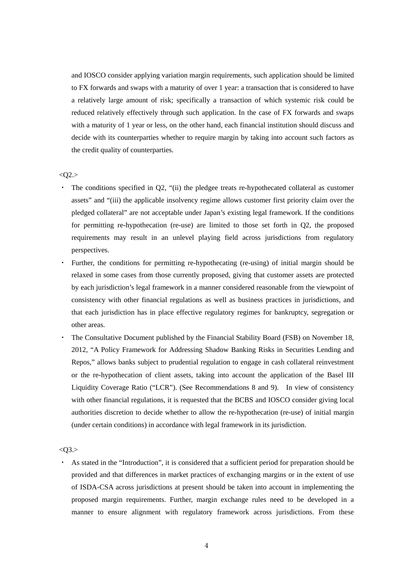and IOSCO consider applying variation margin requirements, such application should be limited to FX forwards and swaps with a maturity of over 1 year: a transaction that is considered to have a relatively large amount of risk; specifically a transaction of which systemic risk could be reduced relatively effectively through such application. In the case of FX forwards and swaps with a maturity of 1 year or less, on the other hand, each financial institution should discuss and decide with its counterparties whether to require margin by taking into account such factors as the credit quality of counterparties.

### $<$ O2. $>$

- ・ The conditions specified in Q2, "(ii) the pledgee treats re-hypothecated collateral as customer assets" and "(iii) the applicable insolvency regime allows customer first priority claim over the pledged collateral" are not acceptable under Japan's existing legal framework. If the conditions for permitting re-hypothecation (re-use) are limited to those set forth in Q2, the proposed requirements may result in an unlevel playing field across jurisdictions from regulatory perspectives.
- Further, the conditions for permitting re-hypothecating (re-using) of initial margin should be relaxed in some cases from those currently proposed, giving that customer assets are protected by each jurisdiction's legal framework in a manner considered reasonable from the viewpoint of consistency with other financial regulations as well as business practices in jurisdictions, and that each jurisdiction has in place effective regulatory regimes for bankruptcy, segregation or other areas.
- The Consultative Document published by the Financial Stability Board (FSB) on November 18, 2012, "A Policy Framework for Addressing Shadow Banking Risks in Securities Lending and Repos," allows banks subject to prudential regulation to engage in cash collateral reinvestment or the re-hypothecation of client assets, taking into account the application of the Basel III Liquidity Coverage Ratio ("LCR"). (See Recommendations 8 and 9). In view of consistency with other financial regulations, it is requested that the BCBS and IOSCO consider giving local authorities discretion to decide whether to allow the re-hypothecation (re-use) of initial margin (under certain conditions) in accordance with legal framework in its jurisdiction.

<Q3.>

・ As stated in the "Introduction", it is considered that a sufficient period for preparation should be provided and that differences in market practices of exchanging margins or in the extent of use of ISDA-CSA across jurisdictions at present should be taken into account in implementing the proposed margin requirements. Further, margin exchange rules need to be developed in a manner to ensure alignment with regulatory framework across jurisdictions. From these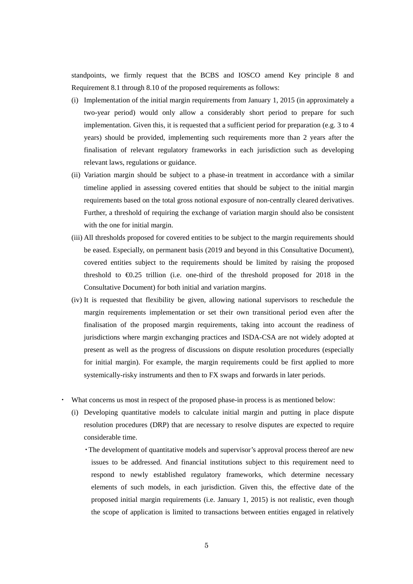standpoints, we firmly request that the BCBS and IOSCO amend Key principle 8 and Requirement 8.1 through 8.10 of the proposed requirements as follows:

- (i) Implementation of the initial margin requirements from January 1, 2015 (in approximately a two-year period) would only allow a considerably short period to prepare for such implementation. Given this, it is requested that a sufficient period for preparation (e.g. 3 to 4 years) should be provided, implementing such requirements more than 2 years after the finalisation of relevant regulatory frameworks in each jurisdiction such as developing relevant laws, regulations or guidance.
- (ii) Variation margin should be subject to a phase-in treatment in accordance with a similar timeline applied in assessing covered entities that should be subject to the initial margin requirements based on the total gross notional exposure of non-centrally cleared derivatives. Further, a threshold of requiring the exchange of variation margin should also be consistent with the one for initial margin.
- (iii) All thresholds proposed for covered entities to be subject to the margin requirements should be eased. Especially, on permanent basis (2019 and beyond in this Consultative Document), covered entities subject to the requirements should be limited by raising the proposed threshold to  $\epsilon 0.25$  trillion (i.e. one-third of the threshold proposed for 2018 in the Consultative Document) for both initial and variation margins.
- (iv) It is requested that flexibility be given, allowing national supervisors to reschedule the margin requirements implementation or set their own transitional period even after the finalisation of the proposed margin requirements, taking into account the readiness of jurisdictions where margin exchanging practices and ISDA-CSA are not widely adopted at present as well as the progress of discussions on dispute resolution procedures (especially for initial margin). For example, the margin requirements could be first applied to more systemically-risky instruments and then to FX swaps and forwards in later periods.
- ・ What concerns us most in respect of the proposed phase-in process is as mentioned below:
	- (i) Developing quantitative models to calculate initial margin and putting in place dispute resolution procedures (DRP) that are necessary to resolve disputes are expected to require considerable time.
		- ・The development of quantitative models and supervisor's approval process thereof are new issues to be addressed. And financial institutions subject to this requirement need to respond to newly established regulatory frameworks, which determine necessary elements of such models, in each jurisdiction. Given this, the effective date of the proposed initial margin requirements (i.e. January 1, 2015) is not realistic, even though the scope of application is limited to transactions between entities engaged in relatively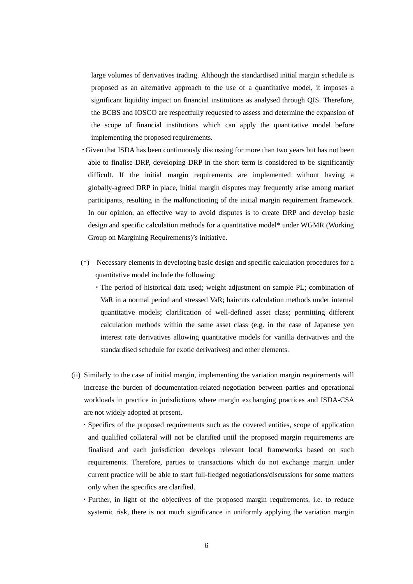large volumes of derivatives trading. Although the standardised initial margin schedule is proposed as an alternative approach to the use of a quantitative model, it imposes a significant liquidity impact on financial institutions as analysed through QIS. Therefore, the BCBS and IOSCO are respectfully requested to assess and determine the expansion of the scope of financial institutions which can apply the quantitative model before implementing the proposed requirements.

- ・Given that ISDA has been continuously discussing for more than two years but has not been able to finalise DRP, developing DRP in the short term is considered to be significantly difficult. If the initial margin requirements are implemented without having a globally-agreed DRP in place, initial margin disputes may frequently arise among market participants, resulting in the malfunctioning of the initial margin requirement framework. In our opinion, an effective way to avoid disputes is to create DRP and develop basic design and specific calculation methods for a quantitative model\* under WGMR (Working Group on Margining Requirements)'s initiative.
- (\*) Necessary elements in developing basic design and specific calculation procedures for a quantitative model include the following:
	- ・The period of historical data used; weight adjustment on sample PL; combination of VaR in a normal period and stressed VaR; haircuts calculation methods under internal quantitative models; clarification of well-defined asset class; permitting different calculation methods within the same asset class (e.g. in the case of Japanese yen interest rate derivatives allowing quantitative models for vanilla derivatives and the standardised schedule for exotic derivatives) and other elements.
- (ii) Similarly to the case of initial margin, implementing the variation margin requirements will increase the burden of documentation-related negotiation between parties and operational workloads in practice in jurisdictions where margin exchanging practices and ISDA-CSA are not widely adopted at present.
	- ・Specifics of the proposed requirements such as the covered entities, scope of application and qualified collateral will not be clarified until the proposed margin requirements are finalised and each jurisdiction develops relevant local frameworks based on such requirements. Therefore, parties to transactions which do not exchange margin under current practice will be able to start full-fledged negotiations/discussions for some matters only when the specifics are clarified.
	- ・Further, in light of the objectives of the proposed margin requirements, i.e. to reduce systemic risk, there is not much significance in uniformly applying the variation margin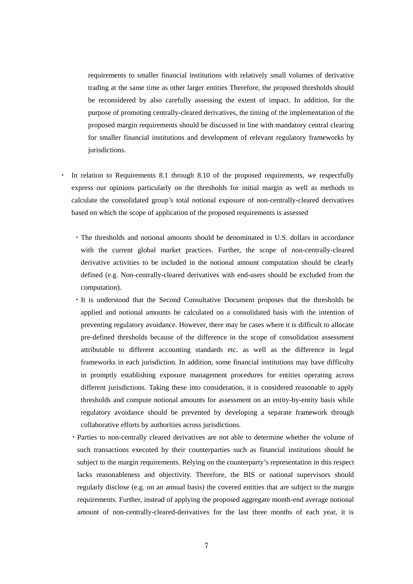requirements to smaller financial institutions with relatively small volumes of derivative trading at the same time as other larger entities Therefore, the proposed thresholds should be reconsidered by also carefully assessing the extent of impact. In addition, for the purpose of promoting centrally-cleared derivatives, the timing of the implementation of the proposed margin requirements should be discussed in line with mandatory central clearing for smaller financial institutions and development of relevant regulatory frameworks by jurisdictions.

- In relation to Requirements 8.1 through 8.10 of the proposed requirements, we respectfully express our opinions particularly on the thresholds for initial margin as well as methods to calculate the consolidated group's total notional exposure of non-centrally-cleared derivatives based on which the scope of application of the proposed requirements is assessed
	- ・The thresholds and notional amounts should be denominated in U.S. dollars in accordance with the current global market practices. Further, the scope of non-centrally-cleared derivative activities to be included in the notional amount computation should be clearly defined (e.g. Non-centrally-cleared derivatives with end-users should be excluded from the computation).
	- ・It is understood that the Second Consultative Document proposes that the thresholds be applied and notional amounts be calculated on a consolidated basis with the intention of preventing regulatory avoidance. However, there may be cases where it is difficult to allocate pre-defined thresholds because of the difference in the scope of consolidation assessment attributable to different accounting standards etc. as well as the difference in legal frameworks in each jurisdiction. In addition, some financial institutions may have difficulty in promptly establishing exposure management procedures for entities operating across different jurisdictions. Taking these into consideration, it is considered reasonable to apply thresholds and compute notional amounts for assessment on an entity-by-entity basis while regulatory avoidance should be prevented by developing a separate framework through collaborative efforts by authorities across jurisdictions.
	- ・Parties to non-centrally cleared derivatives are not able to determine whether the volume of such transactions executed by their counterparties such as financial institutions should be subject to the margin requirements. Relying on the counterparty's representation in this respect lacks reasonableness and objectivity. Therefore, the BIS or national supervisors should regularly disclose (e.g. on an annual basis) the covered entities that are subject to the margin requirements. Further, instead of applying the proposed aggregate month-end average notional amount of non-centrally-cleared-derivatives for the last three months of each year, it is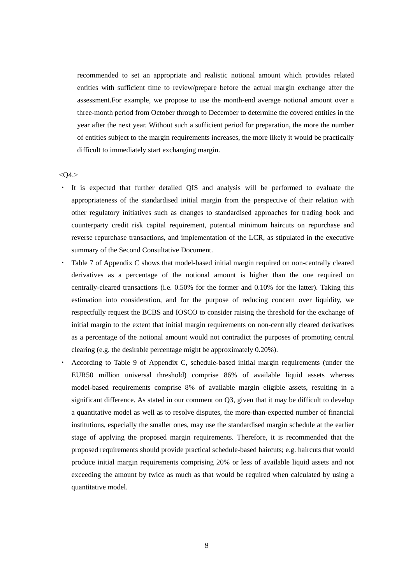recommended to set an appropriate and realistic notional amount which provides related entities with sufficient time to review/prepare before the actual margin exchange after the assessment.For example, we propose to use the month-end average notional amount over a three-month period from October through to December to determine the covered entities in the year after the next year. Without such a sufficient period for preparation, the more the number of entities subject to the margin requirements increases, the more likely it would be practically difficult to immediately start exchanging margin.

#### $<$ O4. $>$

- ・ It is expected that further detailed QIS and analysis will be performed to evaluate the appropriateness of the standardised initial margin from the perspective of their relation with other regulatory initiatives such as changes to standardised approaches for trading book and counterparty credit risk capital requirement, potential minimum haircuts on repurchase and reverse repurchase transactions, and implementation of the LCR, as stipulated in the executive summary of the Second Consultative Document.
- Table 7 of Appendix C shows that model-based initial margin required on non-centrally cleared derivatives as a percentage of the notional amount is higher than the one required on centrally-cleared transactions (i.e. 0.50% for the former and 0.10% for the latter). Taking this estimation into consideration, and for the purpose of reducing concern over liquidity, we respectfully request the BCBS and IOSCO to consider raising the threshold for the exchange of initial margin to the extent that initial margin requirements on non-centrally cleared derivatives as a percentage of the notional amount would not contradict the purposes of promoting central clearing (e.g. the desirable percentage might be approximately 0.20%).
- ・ According to Table 9 of Appendix C, schedule-based initial margin requirements (under the EUR50 million universal threshold) comprise 86% of available liquid assets whereas model-based requirements comprise 8% of available margin eligible assets, resulting in a significant difference. As stated in our comment on Q3, given that it may be difficult to develop a quantitative model as well as to resolve disputes, the more-than-expected number of financial institutions, especially the smaller ones, may use the standardised margin schedule at the earlier stage of applying the proposed margin requirements. Therefore, it is recommended that the proposed requirements should provide practical schedule-based haircuts; e.g. haircuts that would produce initial margin requirements comprising 20% or less of available liquid assets and not exceeding the amount by twice as much as that would be required when calculated by using a quantitative model.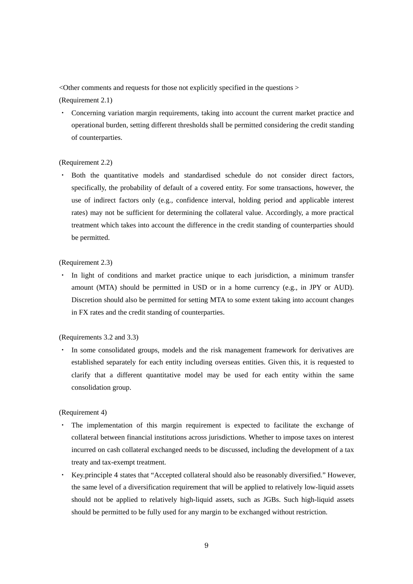<Other comments and requests for those not explicitly specified in the questions >

(Requirement 2.1)

・ Concerning variation margin requirements, taking into account the current market practice and operational burden, setting different thresholds shall be permitted considering the credit standing of counterparties.

## (Requirement 2.2)

・ Both the quantitative models and standardised schedule do not consider direct factors, specifically, the probability of default of a covered entity. For some transactions, however, the use of indirect factors only (e.g., confidence interval, holding period and applicable interest rates) may not be sufficient for determining the collateral value. Accordingly, a more practical treatment which takes into account the difference in the credit standing of counterparties should be permitted.

# (Requirement 2.3)

・ In light of conditions and market practice unique to each jurisdiction, a minimum transfer amount (MTA) should be permitted in USD or in a home currency (e.g., in JPY or AUD). Discretion should also be permitted for setting MTA to some extent taking into account changes in FX rates and the credit standing of counterparties.

(Requirements 3.2 and 3.3)

In some consolidated groups, models and the risk management framework for derivatives are established separately for each entity including overseas entities. Given this, it is requested to clarify that a different quantitative model may be used for each entity within the same consolidation group.

(Requirement 4)

- The implementation of this margin requirement is expected to facilitate the exchange of collateral between financial institutions across jurisdictions. Whether to impose taxes on interest incurred on cash collateral exchanged needs to be discussed, including the development of a tax treaty and tax-exempt treatment.
- ・ Key.principle 4 states that "Accepted collateral should also be reasonably diversified." However, the same level of a diversification requirement that will be applied to relatively low-liquid assets should not be applied to relatively high-liquid assets, such as JGBs. Such high-liquid assets should be permitted to be fully used for any margin to be exchanged without restriction.